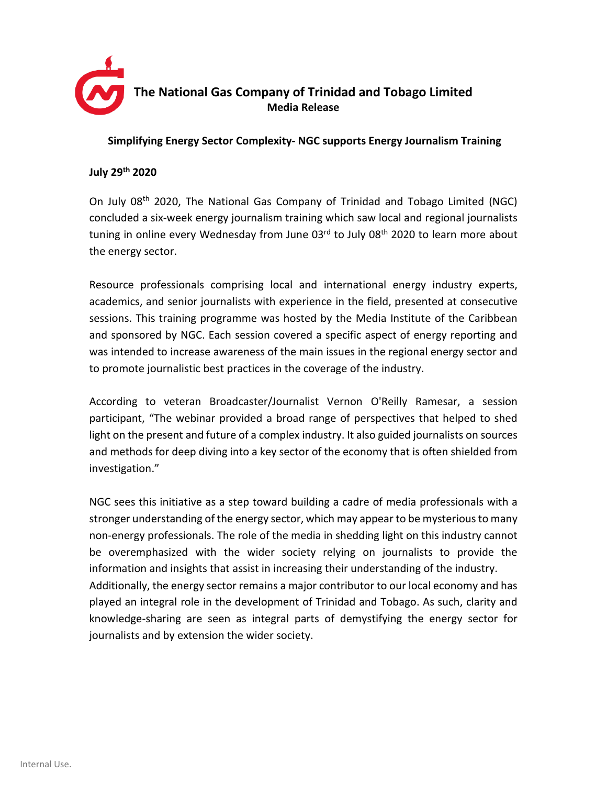

## **Simplifying Energy Sector Complexity- NGC supports Energy Journalism Training**

## **July 29 th 2020**

On July 08th 2020, The National Gas Company of Trinidad and Tobago Limited (NGC) concluded a six-week energy journalism training which saw local and regional journalists tuning in online every Wednesday from June  $03<sup>rd</sup>$  to July  $08<sup>th</sup>$  2020 to learn more about the energy sector.

Resource professionals comprising local and international energy industry experts, academics, and senior journalists with experience in the field, presented at consecutive sessions. This training programme was hosted by the Media Institute of the Caribbean and sponsored by NGC. Each session covered a specific aspect of energy reporting and was intended to increase awareness of the main issues in the regional energy sector and to promote journalistic best practices in the coverage of the industry.

According to veteran Broadcaster/Journalist Vernon O'Reilly Ramesar, a session participant, "The webinar provided a broad range of perspectives that helped to shed light on the present and future of a complex industry. It also guided journalists on sources and methods for deep diving into a key sector of the economy that is often shielded from investigation."

NGC sees this initiative as a step toward building a cadre of media professionals with a stronger understanding of the energy sector, which may appear to be mysteriousto many non-energy professionals. The role of the media in shedding light on this industry cannot be overemphasized with the wider society relying on journalists to provide the information and insights that assist in increasing their understanding of the industry. Additionally, the energy sector remains a major contributor to our local economy and has played an integral role in the development of Trinidad and Tobago. As such, clarity and knowledge-sharing are seen as integral parts of demystifying the energy sector for journalists and by extension the wider society.